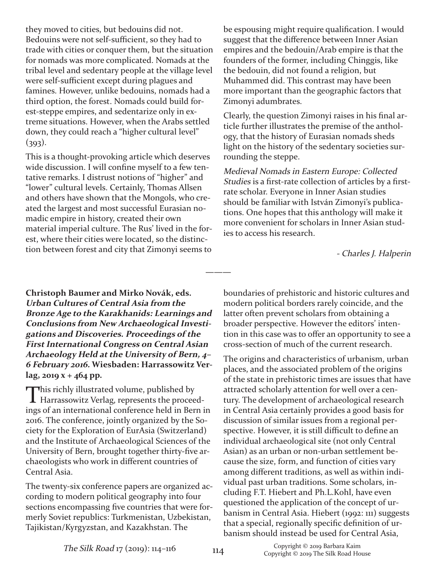they moved to cities, but bedouins did not. Bedouins were not self-sufficient, so they had to trade with cities or conquer them, but the situation for nomads was more complicated. Nomads at the tribal level and sedentary people at the village level were self-sufficient except during plagues and famines. However, unlike bedouins, nomads had a third option, the forest. Nomads could build forest-steppe empires, and sedentarize only in extreme situations. However, when the Arabs settled down, they could reach a "higher cultural level"  $(393).$ 

This is a thought-provoking article which deserves wide discussion. I will confine myself to a few tentative remarks. I distrust notions of "higher" and "lower" cultural levels. Certainly, Thomas Allsen and others have shown that the Mongols, who created the largest and most successful Eurasian nomadic empire in history, created their own material imperial culture. The Rus' lived in the forest, where their cities were located, so the distinction between forest and city that Zimonyi seems to be espousing might require qualification. I would suggest that the difference between Inner Asian empires and the bedouin/Arab empire is that the founders of the former, including Chinggis, like the bedouin, did not found a religion, but Muhammed did. This contrast may have been more important than the geographic factors that Zimonyi adumbrates.

Clearly, the question Zimonyi raises in his final article further illustrates the premise of the anthology, that the history of Eurasian nomads sheds light on the history of the sedentary societies surrounding the steppe.

Medieval Nomads in Eastern Europe: Collected Studies is a first-rate collection of articles by a firstrate scholar. Everyone in Inner Asian studies should be familiar with István Zimonyi's publications. One hopes that this anthology will make it more convenient for scholars in Inner Asian studies to access his research.

Charles J. Halperin

**Christoph Baumer and Mirko Novák, eds. Urban Cultures of Central Asia from the Bronze Age to the Karakhanids: Learnings and Conclusions from New Archaeological Investi‐ gations and Discoveries. Proceedings of the First International Congress on Central Asian Archaeology Held at the University of Bern, 4– <sup>6</sup> February 2016. Wiesbaden: Harrassowitz Ver‐ lag, 2019 x + 464 pp.**

This richly illustrated volume, published by **Harrassowitz Verlag, represents the proceed**ings of an international conference held in Bern in 2016. The conference, jointly organized by the Society for the Exploration of EurAsia (Switzerland) and the Institute of Archaeological Sciences of the University of Bern, brought together thirty-five archaeologists who work in different countries of Central Asia.

The twenty-six conference papers are organized according to modern political geography into four sections encompassing five countries that were formerly Soviet republics: Turkmenistan, Uzbekistan, Tajikistan/Kyrgyzstan, and Kazakhstan. The

boundaries of prehistoric and historic cultures and modern political borders rarely coincide, and the latter often prevent scholars from obtaining a broader perspective. However the editors' intention in this case was to offer an opportunity to see a crosssection of much of the current research.

The origins and characteristics of urbanism, urban places, and the associated problem of the origins of the state in prehistoric times are issues that have attracted scholarly attention for well over a century. The development of archaeological research in Central Asia certainly provides a good basis for discussion of similar issues from a regional perspective. However, it is still difficult to define an individual archaeological site (not only Central Asian) as an urban or non-urban settlement because the size, form, and function of cities vary among different traditions, as well as within individual past urban traditions. Some scholars, including F.T. Hiebert and Ph.L.Kohl, have even questioned the application of the concept of urbanism in Central Asia. Hiebert (1992: 111) suggests that a special, regionally specific definition of urbanism should instead be used for Central Asia,

**———**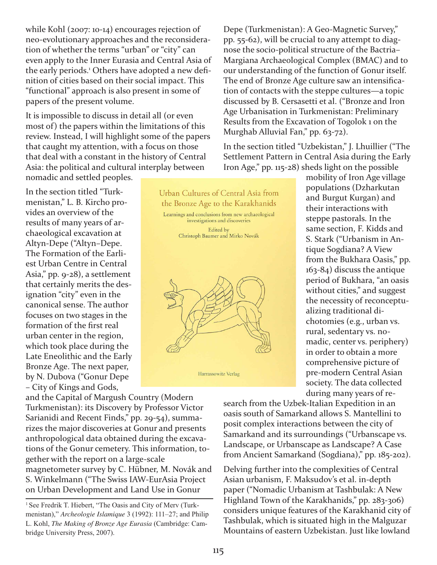while Kohl  $(2007:10-14)$  encourages rejection of neo-evolutionary approaches and the reconsideration of whether the terms "urban" or "city" can even apply to the Inner Eurasia and Central Asia of the early periods. <sup>1</sup> Others have adopted a new definition of cities based on their social impact. This "functional" approach is also present in some of papers of the present volume.

It is impossible to discuss in detail all (or even most of) the papers within the limitations of this review. Instead, I will highlight some of the papers that caught my attention, with a focus on those that deal with a constant in the history of Central Asia: the political and cultural interplay between nomadic and settled peoples.

In the section titled "Turkmenistan," L. B. Kircho provides an overview of the results of many years of archaeological excavation at Altyn-Depe ("Altyn-Depe. The Formation of the Earliest Urban Centre in Central Asia," pp. 9-28), a settlement that certainly merits the designation "city" even in the canonical sense. The author focuses on two stages in the formation of the first real urban center in the region, which took place during the Late Eneolithic and the Early Bronze Age. The next paper, by N. Dubova ("Gonur Depe – City of Kings and Gods,

and the Capital of Margush Country (Modern Turkmenistan): its Discovery by Professor Victor Sarianidi and Recent Finds," pp. 29-54), summarizes the major discoveries at Gonur and presents anthropological data obtained during the excavations of the Gonur cemetery. This information, together with the report on a large-scale magnetometer survey by C. Hübner, M. Novák and S. Winkelmann ("The Swiss IAW-EurAsia Project on Urban Development and Land Use in Gonur

Depe (Turkmenistan): A Geo-Magnetic Survey," pp. 5562), will be crucial to any attempt to diagnose the socio-political structure of the Bactria-Margiana Archaeological Complex (BMAC) and to our understanding of the function of Gonur itself. The end of Bronze Age culture saw an intensification of contacts with the steppe cultures—a topic discussed by B. Cersasetti et al. ("Bronze and Iron Age Urbanisation in Turkmenistan: Preliminary Results from the Excavation of Togolok 1 on the Murghab Alluvial Fan," pp. 63-72).

In the section titled "Uzbekistan," J. Lhuillier ("The Settlement Pattern in Central Asia during the Early Iron Age," pp. 115-28) sheds light on the possible

Urban Cultures of Central Asia from the Bronze Age to the Karakhanids Learnings and conclusions from new archaeological investigations and discoveries Edited by Christoph Baumer and Mirko Novák Harrassowitz Verlag

mobility of Iron Age village populations (Dzharkutan and Burgut Kurgan) and their interactions with steppe pastorals. In the same section, F. Kidds and S. Stark ("Urbanism in Antique Sogdiana? A View from the Bukhara Oasis," pp.  $163-84$ ) discuss the antique period of Bukhara, "an oasis without cities," and suggest the necessity of reconceptualizing traditional dichotomies (e.g., urban vs. rural, sedentary vs. nomadic, center vs. periphery) in order to obtain a more comprehensive picture of pre-modern Central Asian society. The data collected during many years of re-

search from the Uzbek-Italian Expedition in an oasis south of Samarkand allows S. Mantellini to posit complex interactions between the city of Samarkand and its surroundings ("Urbanscape vs. Landscape, or Urbanscape as Landscape? A Case from Ancient Samarkand (Sogdiana)," pp. 185-202).

Delving further into the complexities of Central Asian urbanism, F. Maksudov's et al. in-depth paper ("Nomadic Urbanism at Tashbulak: A New Highland Town of the Karakhanids," pp. 283-306) considers unique features of the Karakhanid city of Tashbulak, which is situated high in the Malguzar Mountains of eastern Uzbekistan. Just like lowland

<sup>&</sup>lt;sup>1</sup> See Fredrik T. Hiebert, "The Oasis and City of Merv (Turkmenistan)," *Archeologie Islamique* 3 (1992): 111–27; and Philip L. Kohl, *The Making of Bronze Age Eurasia* (Cambridge: Cambridge University Press, 2007).